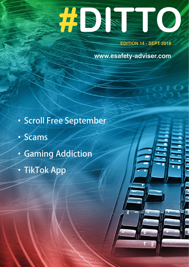# **#DITTOON**

**EDITION 14 - SEPT 2018**

**[www.esafety-adviser.com](http://www.esafety-adviser.com)**

- **‧Scroll Free September**
- **‧Scams**
- **‧Gaming Addiction**
- **‧TikTok App**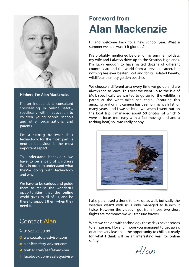

**Hi there, I'm Alan Mackenzie.** 

I'm an independent consultant specialising in online safety, specifcally within education to children, young people, schools and other organizations, and parents.

I'm a strong believer that technology, for the most part, is neutral; behaviour is the most important aspect.

To understand behaviour, we have to be a part of children's lives in order to understand what they're doing with technology and why.

We have to be curious and guide them to realise the wonderful opportunities that the online world gives to all of us, and be there to support them when they need it.

## Contact Alan

- C 01522 25 30 88
- www.esafety-adviser.com
- alan@esafety-adviser.com
- v twitter.com/esafetyadviser
- f facebook.com/esafetyadviser

# **Foreword from Alan Mackenzie**

Hi and welcome back to a new school year. What a summer we had, wasn't it glorious?

I've probably mentioned before, for my summer holidays my wife and I always drive up to the Scottish Highlands. I'm lucky enough to have visited dozens of different countries around the world from a previous career, but nothing has ever beaten Scotland for its isolated beauty, wildlife and empty golden beaches.

We choose a different area every time we go up and are always sad to leave. This year we went up to the Isle of Mull; specifcally we wanted to go up for the wildlife, in particular the white-tailed sea eagle. Capturing this amazing bird on my camera has been on my wish list for many years, and I wasn't let down when I went out on the boat trip. I managed about 50 photos, of which 6 were in focus (not easy with a fast-moving bird and a rocking boat) so I was really happy.



I also purchased a drone to take up as well, but sadly the weather wasn't with us, I only managed to launch it twice. However the videos I got from those two short flights are memories we will treasure forever.

What we can do with technology these days never ceases to amaze me. I love it! I hope you managed to get away, or at the very least had the opportunity to chill out ready for what I think will be an interesting year for online safety.

Alan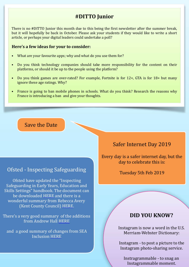### **#DITTO Junior**

There is no #DITTO Junior this month due to this being the first newsletter after the summer break. but it will hopefully be back in October. Please ask your students if they would like to write a short article, or perhaps your digital leaders could undertake a poll?

#### **Here's a few ideas for your to consider:**

- What are your favourite apps; why and what do you use them for?
- Do you think technology companies should take more responsibility for the content on their platforms, or should it be up to the people using the platform?
- Do you think games are over-rated? For example, Fortnite is for  $12+$ , GTA is for  $18+$  but many ignore these age ratings. Why?
- France is going to ban mobile phones in schools. What do you think? Research the reasons why France is introducing a ban and give your thoughts.

### Save the Date

### Ofsted - Inspecting Safeguarding

Ofsted have updated the "Inspecting" Safeguarding in Early Years, Education and Skills Settings" handbook. The document can be downloaded HERE and there is a wonderful summary from Rebecca Avery (Kent County Council) HERE.

There's a very good summary of the additions from Andrew Hall [HERE](http://bit.ly/dittoah)

and a good summary of changes from SEA Inclusion HERE

### Safer Internet Day 2019

Every day is a safer internet day, but the day to celebrate this is:

Tuesday 5th Feb 2019

### **DID YOU KNOW?**

Instagram is now a word in the U.S. Merriam-Webster Dictionary:

Instagram  $-$  to post a picture to the Instagram photo-sharing service.

Instragrammable - to snag an Instagrammable moment.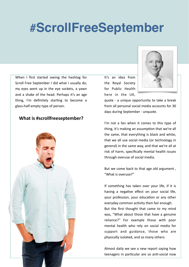# **#ScrollFreeSeptember**

When I first started seeing the hashtag for Scroll Free September I did what I usually do, my eyes went up in the eye sockets, a yawn and a shake of the head. Perhaps it's an age thing, I'm definitely starting to become a glass-half-empty type of person.

### **What is #scrollfreeseptember?**



It's an idea from the Royal Society for Public Health here in the UK,



quote - a unique opportunity to take a break from all personal social media accounts for 30 days during September - unquote.

I'm not a fan when it comes to this type of thing, it's making an assumption that we're all the same, that everything is black and white, that we all use social media (or technology in general) in the same way, and that we're all at risk of harm, specifically mental health issues through overuse of social media.

But we come back to that age old argument, "What is overuse?"

If something has taken over your life, if it is having a negative effect on your social life, your profession, your education or any other everyday common activity then fair enough. But the first thought that came to my mind was, "What about those that have a genuine reliance?" For example those with poor mental health who rely on social media for support and guidance, those who are physically isolated, and so many others.

Almost daily we see a new report saying how teenagers in particular are so anti-social now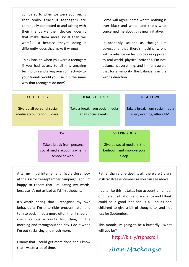compared to when we were younger. Is that really true? If teenagers are continually connected to and talking with their friends via their devices, doesn't that make them more social than we were? Just because they're doing it differently, does that make it wrong?

Think back to when you were a teenager; if you had access to all this amazing technology and always-on connectivity to your friends would you use it in the same way that teenagers do now?

Some will agree, some won't, nothing is ever black and white, and that's what  $concerned$  me about this new initiative

It probably sounds as though I'm advocating that there's nothing wrong with a reliance on technology as opposed to real-world, physical activities. I'm not, balance is everything, and I'm fully aware that for a minority, the balance is in the wrong direction

| <b>COLD TURKEY</b>                                         |                                                                                | <b>SOCIAL BUTTERFLY</b>                                 |  |                                                                   |                                                             | <b>NIGHT OWL</b> |  |
|------------------------------------------------------------|--------------------------------------------------------------------------------|---------------------------------------------------------|--|-------------------------------------------------------------------|-------------------------------------------------------------|------------------|--|
| Give up all personal social<br>media accounts for 30 days. |                                                                                | Take a break from social media<br>at all social events. |  |                                                                   | Take a break from social media<br>every evening, after 6PM. |                  |  |
| <b>BUSY BEE</b>                                            |                                                                                |                                                         |  | <b>SLEEPING DOG</b>                                               |                                                             |                  |  |
|                                                            | Take a break from personal<br>social media accounts when in<br>school or work. |                                                         |  | Give up social media in the<br>bedroom and improve your<br>sleep. |                                                             |                  |  |

After my initial internal rant I had a closer look at the #scrollfreeseptember campaign, and I'm happy to report that I'm eating my words, because it's not as bad as I'd first thought.

It's worth noting that I recognise my own behaviours: I'm a terrible procrastinator and turn to social media more often than I should; I check various accounts first thing in the morning and throughout the day, I do it when I'm out socialising and much more.

I know that I could get more done and I know that I waste a lot of time.

Rather than a one-size-fits all, there are 5 plans in #scrollfreeseptember as you can see above.

I quite like this, it takes into account a number of different situations and scenarios and I think could be a good idea for us all (adults and children) to give a bit of thought to, and not just for September.

This month I'm going to be a butterfly. What will you be?

http://bit.ly/rsphscroll

*Alan Mackenzie*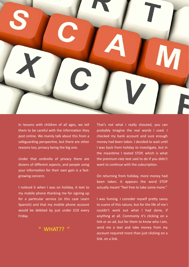

In lessons with children of all ages, we tell them to be careful with the information they post online. We mainly talk about this from a safeguarding perspective, but there are other reasons too, privacy being the big one.

Under that umbrella of privacy there are dozens of different aspects, and people using your information for their own gain is a fastgrowing concern.

I noticed it when I was on holiday. A text to my mobile phone thanking me for signing up for a particular service (in this case Learn Spanish) and that my mobile phone account would be debited by just under £10 every Friday 

### $"$  WHAT??  $"$

That's not what I really shouted, you can probably imagine the real words I used. I checked my bank account and sure enough money had been taken. I decided to wait until I was back from holiday to investigate, but in the meantime I texted STOP, which is what the premium-rate text said to do if you didn't want to continue with the subscription.

On returning from holiday, more money had been taken. It appears the word STOP actually meant "feel free to take some more."

I was fuming. I consider myself pretty savvy to scams of this nature, but for the life of me I couldn't work out what I had done, if anything at all. Commonly it's clicking on a link or an ad, but for them to know who I am, send me a text and take money from my account required more than just clicking on a link. on a link.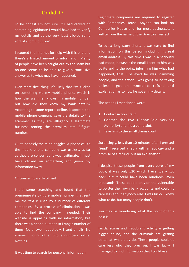### Or did it?

To be honest I'm not sure. If I had clicked on something legitimate I would have had to verify my details and at the very least clicked some sort of submit button?

I scoured the Internet for help with this one and there's a limited amount of information. Plenty of people have been caught out by the scam but no-one seems to be able to give a conclusive answer as to what may have happened.

Even more disturbing, it's likely that I've clicked on something via my mobile phone, which is how the scammer knows my mobile number, but how did they know my bank details? According to some reports online, it appears the mobile phone company gave the details to the scammer as they are allegedly a legitimate business renting the premium rate 5-figure number. 

Quite honestly the mind boggles. A phone call to the mobile phone company was useless, as far as they are concerned it was legitimate, I must have clicked on something and given my information away.

#### Of course, how silly of me!

I did some searching and found that the premium-rate 5-figure mobile number that sent me the text is used by a number of different companies. By a process of elimination I was able to find the company I needed. Their website is appalling with no information, but there was a phone number so I rang a number of times. No answer repeatedly. I sent emails. No answer. I found other phone numbers online. Nothing! 

It was time to search for personal information.

Legitimate companies are required to register with Companies House. Anyone can look on Companies House and, for most businesses, it will tell you the name of the Directors. Perfect.

To cut a long story short, it was easy to find information on this person including his real email address. By this time I was in a seriously bad mood, however the email I sent to him was polite and to the point, informing him what had happened, that I believed he was scamming people, and the action I was going to be taking unless I got an immediate refund and explanation as to how he got all my details.

The actions I mentioned were:

- 1. Contact Action Fraud.
- 2. Contact the PSA (Phone-Paid Services Authority) and file a complaint.
- 3. Take him to the small claims court.

Surprisingly, less than 10 minutes after I pressed 'Send', I received a reply with an apology and a promise of a refund, **but no explanation**.

I despise these people from every pore of my body; it was only £20 which I eventually got back, but it could have been hundreds, even thousands. These people prey on the vulnerable to bolster their own bank accounts and couldn't care less about anybody else. I was lucky, I knew what to do, but many people don't.

You may be wondering what the point of this post is.

Firstly, scams and fraudulent activity is getting bigger online, and the criminals are getting better at what they do. These people couldn't care less who they prey on. I was lucky, I managed to find information that I could use.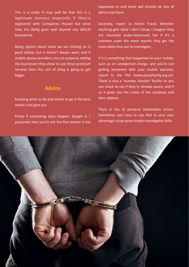This is a rarity. It may well be that this is a legitimate business (especially if they're registered with Companies House) but what they are doing goes well beyond any ethical boundaries. 

Being vigilant about what we are clicking on is good advice, but it doesn't always work, and if mobile phone providers are not properly vetting the businesses they allow to use these premium services then this sort of thing is going to get bigger. 

#### **Advice**

Knowing what to do and where to go is the best advice I can give you.

Firstly if something does happen, Google it. I guarantee that you're not the first person it has happened to and there will already be lots of advice out there.

Secondly, report to Action Fraud. Whether anything gets done I don't know, I imagine they are massively under-resourced, but if it's a common scam the more reports they get the more likely they are to investigate.

If it is something that happened on your mobile, such as an unexpected charge, and you're not getting anywhere with your mobile operator, report to the PSA [\(www.psauthority.org.uk\)](http://www.psauthority.org.uk). There is also a 'number checker' facility so you can check to see if they're already aware, and if so it gives you the name of the company and their address.

There is lots of personal information online. Sometimes you have to use that to your own advantage using some simple investigative skills.

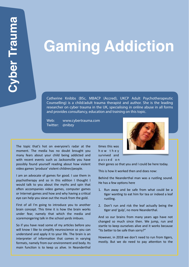# **Gaming Addiction**

Catherine Knibbs (BSc, MBACP (Accred), UKCP Adult Psychotherapeutic Counselling) is a child/adult trauma therapist and author. She is the leading researcher on cyber trauma in the UK, specialising in online abuse in all forms and provides consultancy, education and training on this topic.

Web: [www.cybertrauma.com](http://www.cybertrauma.com) Twitter: @nibzy

The topic that's hot on everyone's radar at the moment. The media has no doubt brought you many fears about your child being addicted and with recent events such as Jacksonville you have possibly found yourself reading about how violent video games 'produce' violent children/people.

I am an advocate of games for good. I use them in psychotherapy and so in this edition I thought I would talk to you about the myths and spin that often accompanies video games, computer games or Internet games and how and why having a critical eye can help you sieve out the muck from the gold.

First of all I'm going to introduce you to another brain concept. This time it is how the brain works under fear, namely that which the media and scaremongering talk in the school yards imbues.

So if you have read some of my articles before you will know I like to simplify neuroscience so you can understand and apply it to your life. The brain is an interpreter of information that comes in varying formats, namely from our environment and body. Its main function is to keep us alive. In Neanderthal

times this was h o w t h e y survived and p a s s e d o n 

their genes so that you and I could be here today.

This is how it worked then and does now:

Behind the Neanderthal man was a rustling sound. He has a few options here

- 1. Run away and be safe from what could be a tiger wanting to eat him for tea or indeed a leaf rustling.
- 2. Don't run and risk the leaf actually being the tiger and 'gulp', no more Neanderthal.

And so our brains from many years ago have not changed so much since then. We jump, run and startle to keep ourselves alive and it works because "Its better to be safe than sorry?"

However, in 2018 we don't need to run from tigers, mostly. But we do need to pay attention to the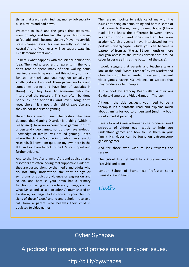things that are threats. Such as; money, job security, buses, trains and bad news.

Welcome to 2018 and the gossip that keeps you wary, on edge and terrified that your child is going to 'be addicted', 'become violent', 'have irreversible brain changes' (yes this was recently spouted in Australia) and "your eyes will go square watching TV." Remember that one?

So here's what happens with the science behind this idea. The media, teachers or parents in the yard don't tend to spend many of their waking hours reading research papers (I find this activity so much fun so I can tell you, you may not actually get anything done if you did. These papers are long and sometimes boring and have lots of statistics in them). So, they look to someone who has interpreted the research. This can often be done badly by non-scientists and even long term researchers if it is not their field of expertise and they do not understand gaming.

Herein lies a major issue: The bodies who have deemed that Gaming Disorder is a thing (which it really isn't), have no experience of gaming, do not understand video games, nor do they have in-depth knowledge of family lives around gaming. That's where the clinician's come in, of whom very few do research. (I know I am quite on my own here in the U.K. and so I have to look to the U.S. for support and further evidence).

And so the 'hype' and 'myths' around addiction and disorders are often lacking real supportive evidence, they are passed along by the media and adults who do not fully understand the terminology or symptoms of addiction, violence or aggression and so on, and because your brain has a primary function of paying attention to scary things, such as what Mr. so and so said, or Johnny's mum shared on Facebook, you begin to look towards your child for signs of these 'issues' and lo and behold I receive a call from a parent who believes their child is addicted to video games.

The research points to evidence of many of the issues not being an actual thing and here is some of that research, through easy to read books (I have read all so know the difference between highly academic books and ones written for nonacademics), also guests I have interviewed for my podcast Cybersynapse, which you can become a patreon of from as little as £1 per month or more and gain access to the latest conversations around cyber issues (see link at the bottom of the page).

I would suggest that parents and teachers take a look at the book "Moral Combat" by Pat Markey and Chris Ferguson for an in-depth review of violent video games having NO evidence to support that they produce violent people.

Also a book by Anthony Bean called A Clinicians Guide to Gamers and Video Games in Therapy.

Although the title suggests you need to be a therapist it's a fantastic read and explains much about gaming for you to understand (until my book is out aimed at parents)

Have a look at Geekdadgamer as he produces small snippets of videos each week to help you understand games and how to use them in your family. His videos can be found on patreon.com/ geekdadgamer 

And for those who wish to look towards the research: 

The Oxford Internet Institute - Professor Andrew Przbylski and team

London School of Economics: Professor Sonia Livingstone and team

*Cath* 

### Cyber Synapse

A podcast for parents and professionals for cyber issues.

<http://bit.ly/cysynapse>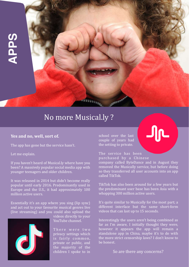

# No more Musical.ly?

### Yes and no, well, sort of.

The app has gone but the service hasn't.

Let me explain.

If you haven't heard of Musical.ly where have you been? A massively popular social media app with younger teenagers and older children.

It was released in 2014 but didn't become really popular until early 2016. Predominantly used in Europe and the U.S., it had approximately  $100$ million active users.

Essentially it's an app where you sing (lip sync) and act out to your favourite musical genres live (live streaming) and you could also upload the



videos directly to your YouTube channel.

There were two privacy settings which is fairly common, private or public, and the majority of the children I spoke to in school over the last couple of years had the setting to private.

The service has been

purchased by a Chinese company called ByteDance and in August they removed the Musically service, but before doing so they transferred all user accounts into an app called TikTok. 

TikTok has also been around for a few years but the predominant user base has been Asia with a whopping 300 million active users.

It's quite similar to Musically for the most part; a different interface but the same short-form videos that can last up to 15 seconds.

Interestingly the users aren't being combined as far as I'm aware, I initially thought they were, however it appears the app will remain a standalone app in China, maybe it's to do with the more strict censorship laws? I don't know to be honest. 

So are there any concerns?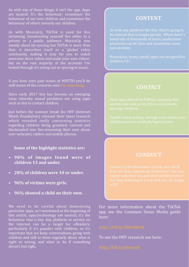As with any of these things, it isn't the app. Apps are neutral. It's the behaviour; sometimes the behaviour of our own children and sometimes the behaviour of others towards our children.

As with Musical.ly, TikTok is used for live streaming, broadcasting yourself live either to a private or a public audience. Musical.ly was mainly about lip-syncing but TikTok is more than that, it describes itself as a 'global video community, making it easy for you to watch awesome short videos and make your own videos', but on the vast majority of the accounts I've looked through it's acting out or syncing to music.

If you have seen past issues of #DITTO you'll be well aware of the concerns over live strea

Since early 2017 this has become an emerging issue whereby sexual predators are using apps such as this to contact children.

Just before the summer break the IWF (Internet Watch Foundation) released their latest research which revealed really concerning statistics regarding children being groomed, coerced and blackmailed into live-streaming their own abuse over webcams, tablets and mobile phones.

### **Some of the highlight statistics are:**

- **•** 98% of images found were of children 13 and under.
- **28% of children were 10 or under.**
- **96% of victims were girls.**
- **96% showed a child on their own.**

We need to be careful about demonising particular apps; as I mentioned at the beginning of this article, apps/technology are neutral, it's the behaviour that is key. Any platform or service on the internet can be a target for offenders, particularly if it's popular with children, so it's important that we keep conversations going with  $c$ hildren and talk to them regularly about what is right or wrong, and what to do if something doesn't feel right.

### **CONTENT**

As with any platform like this, there's going to be content that is inappropriate. When there's hundreds of thousands of users, moderation processes can be slow and sometimes seem non-existent. 

Remember, many (most) apps are designed for children 13+. 

### **CONTACT**

### **CONDUCT**

For more information about the TikTok app see the Common Sense Media guide here: 

To see the IWF research see here: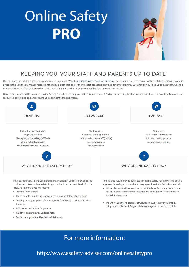# **Online Safety PRO**

### KEEPING YOU, YOUR STAFF AND PARENTS UP TO DATE

Online safety has evolved over the years into a huge area. Whilst Keeping Children Safe in Education requires staff receive regular online safety training/updates, in practice this is difficult. Annual research nationally is clear that one of the weakest aspects is staff and governor training. But what do you keep up to date with, where is that advice coming from, is it based on good research and experience, where do you find the time and resources?

New for September 2018 onwards, Online Safety Pro is here to help you with this, and more. A 1-day course being held at multiple locations, followed by 12 months of resources, advice and guidance, saving you significant time and money.



- · Training for your staff
- . Half-termly 10-minute video to keep you and your staff right up to date.
- . Training for all your governors and any new members of staff (online video training).
- · Information and advice for parents.
- · Guidance on any new or updated risks.
- · Support and guidance. Need advice? Ask away.
- risk or concern, new statutory guidance or a brilliant new free resource to use in the classroom.
- . The Online Safety Pro course is structured in a way to save you time by doing much of the work for you whilst keeping costs as low as possible.

# For more information:

### <http://www.esafety-adviser.com/onlinesafetypro>